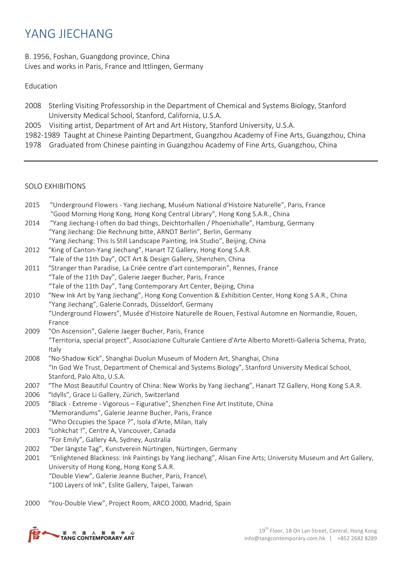# YANG **JIFCHANG**

## B. 1956, Foshan, Guangdong province, China Lives and works in Paris, France and Ittlingen, Germany

### Education

- 2008 Sterling Visiting Professorship in the Department of Chemical and Systems Biology, Stanford University Medical School, Stanford, California, U.S.A.
- 2005 Visiting artist, Department of Art and Art History, Stanford University, U.S.A.
- 1982-1989 Taught at Chinese Painting Department, Guangzhou Academy of Fine Arts, Guangzhou, China
- 1978 Graduated from Chinese painting in Guangzhou Academy of Fine Arts, Guangzhou, China

#### SOLO EXHIBITIONS

| 2015 | "Underground Flowers - Yang Jiechang, Muséum National d'Histoire Naturelle", Paris, France                    |
|------|---------------------------------------------------------------------------------------------------------------|
|      | "Good Morning Hong Kong, Hong Kong Central Library", Hong Kong S.A.R., China                                  |
| 2014 | "Yang Jiechang-I often do bad things, Deichtorhallen / Phoenixhalle", Hamburg, Germany                        |
|      | "Yang Jiechang: Die Rechnung bitte, ARNDT Berlin", Berlin, Germany                                            |
|      | "Yang Jiechang: This Is Still Landscape Painting, Ink Studio", Beijing, China                                 |
| 2012 | "King of Canton-Yang Jiechang", Hanart TZ Gallery, Hong Kong S.A.R.                                           |
|      | "Tale of the 11th Day", OCT Art & Design Gallery, Shenzhen, China                                             |
| 2011 | "Stranger than Paradise, La Criée centre d'art contemporain", Rennes, France                                  |
|      | "Tale of the 11th Day", Galerie Jaeger Bucher, Paris, France                                                  |
|      | "Tale of the 11th Day", Tang Contemporary Art Center, Beijing, China                                          |
| 2010 | "New Ink Art by Yang Jiechang", Hong Kong Convention & Exhibition Center, Hong Kong S.A.R., China             |
|      | "Yang Jiechang", Galerie Conrads, Düsseldorf, Germany                                                         |
|      | "Underground Flowers", Musée d'Histoire Naturelle de Rouen, Festival Automne en Normandie, Rouen,             |
|      | France                                                                                                        |
| 2009 | "On Ascension", Galerie Jaeger Bucher, Paris, France                                                          |
|      | "Territoria, special project", Associazione Culturale Cantiere d'Arte Alberto Moretti-Galleria Schema, Prato, |
|      | Italy                                                                                                         |
| 2008 | "No-Shadow Kick", Shanghai Duolun Museum of Modern Art, Shanghai, China                                       |
|      | "In God We Trust, Department of Chemical and Systems Biology", Stanford University Medical School,            |
|      | Stanford, Palo Alto, U.S.A.                                                                                   |
| 2007 | "The Most Beautiful Country of China: New Works by Yang Jiechang", Hanart TZ Gallery, Hong Kong S.A.R.        |
| 2006 | "Idylls", Grace Li Gallery, Zürich, Switzerland                                                               |
| 2005 | "Black - Extreme - Vigorous - Figurative", Shenzhen Fine Art Institute, China                                 |

- "Who Occupies the Space ?", Isola d'Arte, Milan, Italy 2003 "Lohkchat !", Centre A, Vancouver, Canada
	- "For Emily", Gallery 4A, Sydney, Australia
- 2002 "Der längste Tag", Kunstverein Nürtingen, Nürtingen, Germany

"Memorandums", Galerie Jeanne Bucher, Paris, France

- 2001 "Enlightened Blackness: Ink Paintings by Yang Jiechang", Alisan Fine Arts; University Museum and Art Gallery, University of Hong Kong, Hong Kong S.A.R.
	- "Double View", Galerie Jeanne Bucher, Paris, France\
	- "100 Layers of Ink", Eslite Gallery, Taipei, Taiwan
- 2000 "You-Double View", Project Room, ARCO 2000, Madrid, Spain

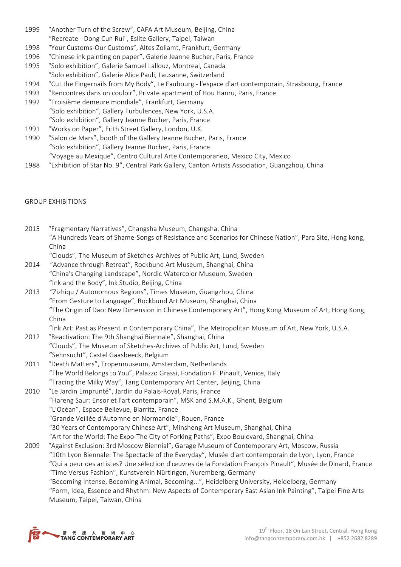- 1999 "Another Turn of the Screw", CAFA Art Museum, Beijing, China "Recreate - Dong Cun Rui", Eslite Gallery, Taipei, Taiwan
- 1998 "Your Customs-Our Customs", Altes Zollamt, Frankfurt, Germany
- 1996 "Chinese ink painting on paper", Galerie Jeanne Bucher, Paris, France
- 1995 "Solo exhibition", Galerie Samuel Lallouz, Montreal, Canada "Solo exhibition", Galerie Alice Pauli, Lausanne, Switzerland
- 1994 "Cut the Fingernails from My Body", Le Faubourg l'espace d'art contemporain, Strasbourg, France
- 1993 "Rencontres dans un couloir", Private apartment of Hou Hanru, Paris, France
- 1992 "Troisième demeure mondiale", Frankfurt, Germany "Solo exhibition", Gallery Turbulences, New York, U.S.A.
	- "Solo exhibition", Gallery Jeanne Bucher, Paris, France
- 1991 "Works on Paper", Frith Street Gallery, London, U.K.
- 1990 "Salon de Mars", booth of the Gallery Jeanne Bucher, Paris, France "Solo exhibition", Gallery Jeanne Bucher, Paris, France "Voyage au Mexique", Centro Cultural Arte Contemporaneo, Mexico City, Mexico
- 1988 "Exhibition of Star No. 9", Central Park Gallery, Canton Artists Association, Guangzhou, China

#### GROUP EXHIBITIONS

2015 "Fragmentary Narratives", Changsha Museum, Changsha, China "A Hundreds Years of Shame-Songs of Resistance and Scenarios for Chinese Nation", Para Site, Hong kong, China "Clouds", The Museum of Sketches-Archives of Public Art, Lund, Sweden 2014 "Advance through Retreat", Rockbund Art Museum, Shanghai, China "China's Changing Landscape", Nordic Watercolor Museum, Sweden "Ink and the Body", Ink Studio, Beijing, China 2013 "Zizhiqu / Autonomous Regions", Times Museum, Guangzhou, China "From Gesture to Language", Rockbund Art Museum, Shanghai, China "The Origin of Dao: New Dimension in Chinese Contemporary Art", Hong Kong Museum of Art, Hong Kong, China "Ink Art: Past as Present in Contemporary China", The Metropolitan Museum of Art, New York, U.S.A. 2012 "Reactivation: The 9th Shanghai Biennale", Shanghai, China "Clouds", The Museum of Sketches-Archives of Public Art, Lund, Sweden "Sehnsucht", Castel Gaasbeeck, Belgium 2011 "Death Matters", Tropenmuseum, Amsterdam, Netherlands "The World Belongs to You", Palazzo Grassi, Fondation F. Pinault, Venice, Italy "Tracing the Milky Way", Tang Contemporary Art Center, Beijing, China 2010 "Le Jardin Emprunté", Jardin du Palais-Royal, Paris, France "Hareng Saur: Ensor et l'art contemporain", MSK and S.M.A.K., Ghent, Belgium "L'Océan", Espace Bellevue, Biarritz, France "Grande Veillée d'Automne en Normandie", Rouen, France "30 Years of Contemporary Chinese Art", Minsheng Art Museum, Shanghai, China "Art for the World: The Expo-The City of Forking Paths", Expo Boulevard, Shanghai, China 2009 "Against Exclusion: 3rd Moscow Biennial", Garage Museum of Contemporary Art, Moscow, Russia "10th Lyon Biennale: The Spectacle of the Everyday", Musée d'art contemporain de Lyon, Lyon, France "Qui a peur des artistes? Une sélection d'œuvres de la Fondation François Pinault", Musée de Dinard, France "Time Versus Fashion", Kunstverein Nürtingen, Nuremberg, Germany "Becoming Intense, Becoming Animal, Becoming...", Heidelberg University, Heidelberg, Germany "Form, Idea, Essence and Rhythm: New Aspects of Contemporary East Asian Ink Painting", Taipei Fine Arts Museum, Taipei, Taiwan, China

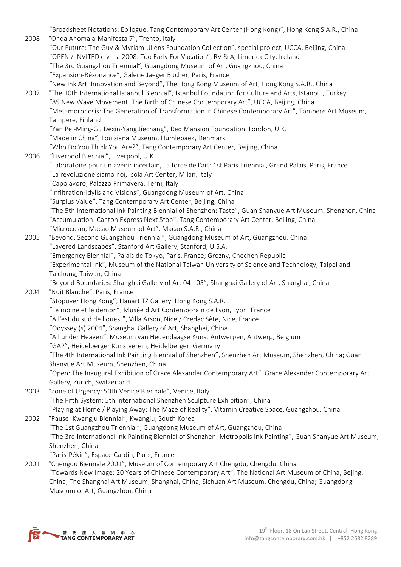"Broadsheet Notations: Epilogue, Tang Contemporary Art Center (Hong Kong)", Hong Kong S.A.R., China 2008 "Onda Anomala-Manifesta 7", Trento, Italy "Our Future: The Guy & Myriam Ullens Foundation Collection", special project, UCCA, Beijing, China "OPEN / INVITED e v + a 2008: Too Early For Vacation", RV & A, Limerick City, Ireland "The 3rd Guangzhou Triennial", Guangdong Museum of Art, Guangzhou, China "Expansion-Résonance", Galerie Jaeger Bucher, Paris, France "New Ink Art: Innovation and Beyond", The Hong Kong Museum of Art, Hong Kong S.A.R., China 2007 "The 10th International Istanbul Biennial", Istanbul Foundation for Culture and Arts, Istanbul, Turkey "85 New Wave Movement: The Birth of Chinese Contemporary Art", UCCA, Beijing, China "Metamorphosis: The Generation of Transformation in Chinese Contemporary Art", Tampere Art Museum, Tampere, Finland "Yan Pei-Ming-Gu Dexin-Yang Jiechang", Red Mansion Foundation, London, U.K. "Made in China", Louisiana Museum, Humlebaek, Denmark "Who Do You Think You Are?", Tang Contemporary Art Center, Beijing, China 2006 "Liverpool Biennial", Liverpool, U.K. "Laboratoire pour un avenir incertain, La force de l'art: 1st Paris Triennial, Grand Palais, Paris, France "La revoluzione siamo noi, Isola Art Center, Milan, Italy "Capolavoro, Palazzo Primavera, Terni, Italy "Infiltration-Idylls and Visions", Guangdong Museum of Art, China "Surplus Value", Tang Contemporary Art Center, Beijing, China "The 5th International Ink Painting Biennial of Shenzhen: Taste", Guan Shanyue Art Museum, Shenzhen, China "Accumulation: Canton Express Next Stop", Tang Contemporary Art Center, Beijing, China "Microcosm, Macao Museum of Art", Macao S.A.R., China 2005 "Beyond, Second Guangzhou Triennial", Guangdong Museum of Art, Guangzhou, China "Layered Landscapes", Stanford Art Gallery, Stanford, U.S.A. "Emergency Biennial", Palais de Tokyo, Paris, France; Grozny, Chechen Republic "Experimental Ink", Museum of the National Taiwan University of Science and Technology, Taipei and Taichung, Taiwan, China "Beyond Boundaries: Shanghai Gallery of Art 04 - 05", Shanghai Gallery of Art, Shanghai, China 2004 "Nuit Blanche", Paris, France "Stopover Hong Kong", Hanart TZ Gallery, Hong Kong S.A.R. "Le moine et le démon", Musée d'Art Contemporain de Lyon, Lyon, France "A l'est du sud de l'ouest", Villa Arson, Nice / Credac Sète, Nice, France "Odyssey (s) 2004", Shanghai Gallery of Art, Shanghai, China "All under Heaven", Museum van Hedendaagse Kunst Antwerpen, Antwerp, Belgium "GAP", Heidelberger Kunstverein, Heidelberger, Germany "The 4th International Ink Painting Biennial of Shenzhen", Shenzhen Art Museum, Shenzhen, China; Guan Shanyue Art Museum, Shenzhen, China "Open: The Inaugural Exhibition of Grace Alexander Contemporary Art", Grace Alexander Contemporary Art Gallery, Zurich, Switzerland 2003 "Zone of Urgency: 50th Venice Biennale", Venice, Italy "The Fifth System: 5th International Shenzhen Sculpture Exhibition", China "Playing at Home / Playing Away: The Maze of Reality", Vitamin Creative Space, Guangzhou, China 2002 "Pause: Kwangju Biennial", Kwangju, South Korea "The 1st Guangzhou Triennial", Guangdong Museum of Art, Guangzhou, China "The 3rd International Ink Painting Biennial of Shenzhen: Metropolis Ink Painting", Guan Shanyue Art Museum, Shenzhen, China "Paris-Pékin", Espace Cardin, Paris, France 2001 "Chengdu Biennale 2001", Museum of Contemporary Art Chengdu, Chengdu, China "Towards New Image: 20 Years of Chinese Contemporary Art", The National Art Museum of China, Bejing,

China; The Shanghai Art Museum, Shanghai, China; Sichuan Art Museum, Chengdu, China; Guangdong Museum of Art, Guangzhou, China